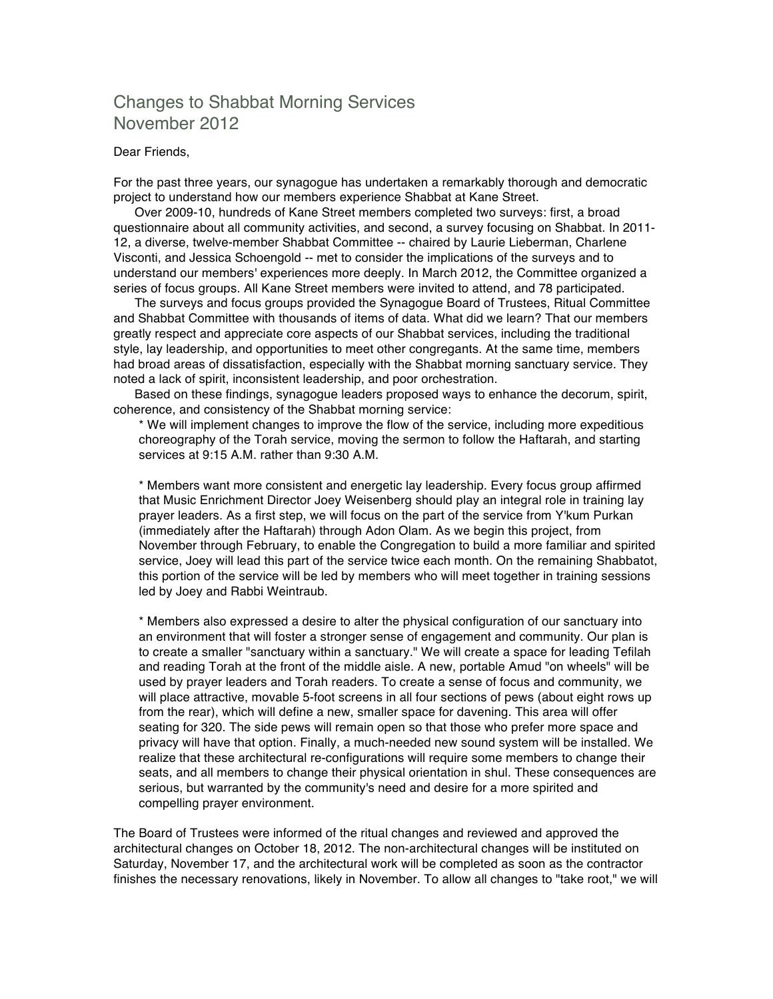## Changes to Shabbat Morning Services November 2012

## Dear Friends,

For the past three years, our synagogue has undertaken a remarkably thorough and democratic project to understand how our members experience Shabbat at Kane Street.

 Over 2009-10, hundreds of Kane Street members completed two surveys: first, a broad questionnaire about all community activities, and second, a survey focusing on Shabbat. In 2011- 12, a diverse, twelve-member Shabbat Committee -- chaired by Laurie Lieberman, Charlene Visconti, and Jessica Schoengold -- met to consider the implications of the surveys and to understand our members' experiences more deeply. In March 2012, the Committee organized a series of focus groups. All Kane Street members were invited to attend, and 78 participated.

 The surveys and focus groups provided the Synagogue Board of Trustees, Ritual Committee and Shabbat Committee with thousands of items of data. What did we learn? That our members greatly respect and appreciate core aspects of our Shabbat services, including the traditional style, lay leadership, and opportunities to meet other congregants. At the same time, members had broad areas of dissatisfaction, especially with the Shabbat morning sanctuary service. They noted a lack of spirit, inconsistent leadership, and poor orchestration.

 Based on these findings, synagogue leaders proposed ways to enhance the decorum, spirit, coherence, and consistency of the Shabbat morning service:

\* We will implement changes to improve the flow of the service, including more expeditious choreography of the Torah service, moving the sermon to follow the Haftarah, and starting services at 9:15 A.M. rather than 9:30 A.M.

\* Members want more consistent and energetic lay leadership. Every focus group affirmed that Music Enrichment Director Joey Weisenberg should play an integral role in training lay prayer leaders. As a first step, we will focus on the part of the service from Y'kum Purkan (immediately after the Haftarah) through Adon Olam. As we begin this project, from November through February, to enable the Congregation to build a more familiar and spirited service, Joey will lead this part of the service twice each month. On the remaining Shabbatot, this portion of the service will be led by members who will meet together in training sessions led by Joey and Rabbi Weintraub.

\* Members also expressed a desire to alter the physical configuration of our sanctuary into an environment that will foster a stronger sense of engagement and community. Our plan is to create a smaller "sanctuary within a sanctuary." We will create a space for leading Tefilah and reading Torah at the front of the middle aisle. A new, portable Amud "on wheels" will be used by prayer leaders and Torah readers. To create a sense of focus and community, we will place attractive, movable 5-foot screens in all four sections of pews (about eight rows up from the rear), which will define a new, smaller space for davening. This area will offer seating for 320. The side pews will remain open so that those who prefer more space and privacy will have that option. Finally, a much-needed new sound system will be installed. We realize that these architectural re-configurations will require some members to change their seats, and all members to change their physical orientation in shul. These consequences are serious, but warranted by the community's need and desire for a more spirited and compelling prayer environment.

The Board of Trustees were informed of the ritual changes and reviewed and approved the architectural changes on October 18, 2012. The non-architectural changes will be instituted on Saturday, November 17, and the architectural work will be completed as soon as the contractor finishes the necessary renovations, likely in November. To allow all changes to "take root," we will